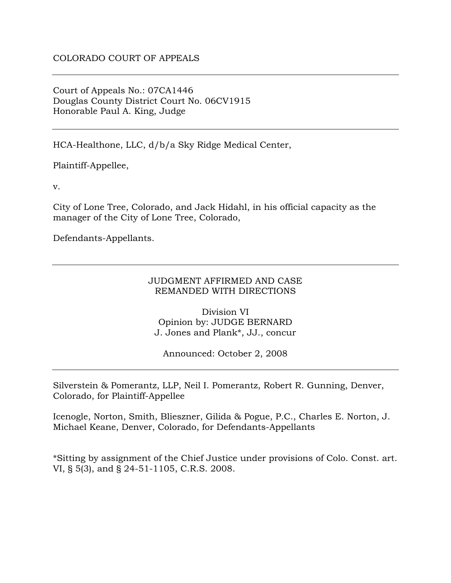Court of Appeals No.: 07CA1446 Douglas County District Court No. 06CV1915 Honorable Paul A. King, Judge

HCA-Healthone, LLC, d/b/a Sky Ridge Medical Center,

Plaintiff-Appellee,

v.

City of Lone Tree, Colorado, and Jack Hidahl, in his official capacity as the manager of the City of Lone Tree, Colorado,

Defendants-Appellants.

#### JUDGMENT AFFIRMED AND CASE REMANDED WITH DIRECTIONS

Division VI Opinion by: JUDGE BERNARD J. Jones and Plank\*, JJ., concur

Announced: October 2, 2008

Silverstein & Pomerantz, LLP, Neil I. Pomerantz, Robert R. Gunning, Denver, Colorado, for Plaintiff-Appellee

Icenogle, Norton, Smith, Blieszner, Gilida & Pogue, P.C., Charles E. Norton, J. Michael Keane, Denver, Colorado, for Defendants-Appellants

\*Sitting by assignment of the Chief Justice under provisions of Colo. Const. art. VI, § 5(3), and § 24-51-1105, C.R.S. 2008.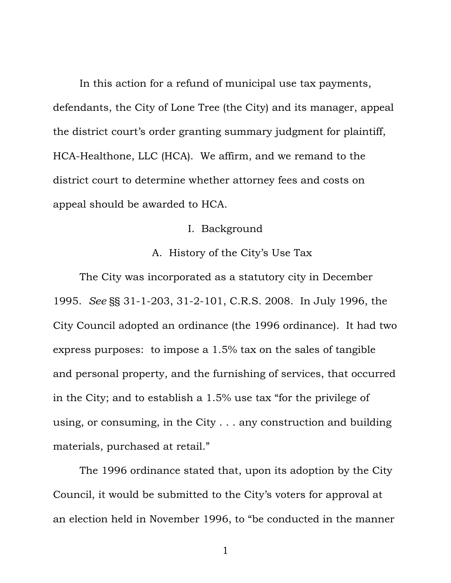In this action for a refund of municipal use tax payments, defendants, the City of Lone Tree (the City) and its manager, appeal the district court's order granting summary judgment for plaintiff, HCA-Healthone, LLC (HCA). We affirm, and we remand to the district court to determine whether attorney fees and costs on appeal should be awarded to HCA.

## I. Background

## A. History of the City's Use Tax

 The City was incorporated as a statutory city in December 1995. *See* §§ 31-1-203, 31-2-101, C.R.S. 2008. In July 1996, the City Council adopted an ordinance (the 1996 ordinance). It had two express purposes: to impose a 1.5% tax on the sales of tangible and personal property, and the furnishing of services, that occurred in the City; and to establish a 1.5% use tax "for the privilege of using, or consuming, in the City . . . any construction and building materials, purchased at retail."

The 1996 ordinance stated that, upon its adoption by the City Council, it would be submitted to the City's voters for approval at an election held in November 1996, to "be conducted in the manner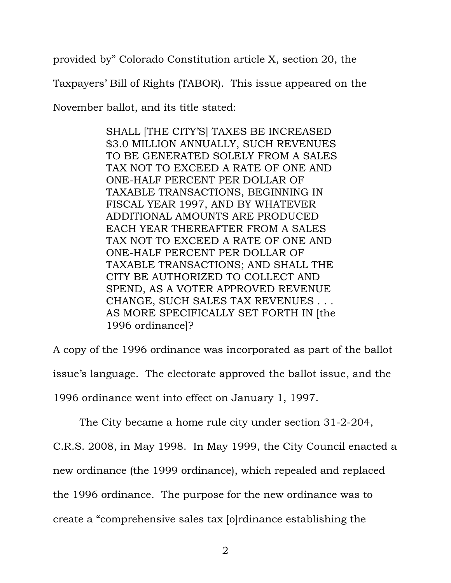provided by" Colorado Constitution article X, section 20, the

Taxpayers' Bill of Rights (TABOR). This issue appeared on the

November ballot, and its title stated:

SHALL [THE CITY'S] TAXES BE INCREASED \$3.0 MILLION ANNUALLY, SUCH REVENUES TO BE GENERATED SOLELY FROM A SALES TAX NOT TO EXCEED A RATE OF ONE AND ONE-HALF PERCENT PER DOLLAR OF TAXABLE TRANSACTIONS, BEGINNING IN FISCAL YEAR 1997, AND BY WHATEVER ADDITIONAL AMOUNTS ARE PRODUCED EACH YEAR THEREAFTER FROM A SALES TAX NOT TO EXCEED A RATE OF ONE AND ONE-HALF PERCENT PER DOLLAR OF TAXABLE TRANSACTIONS; AND SHALL THE CITY BE AUTHORIZED TO COLLECT AND SPEND, AS A VOTER APPROVED REVENUE CHANGE, SUCH SALES TAX REVENUES . . . AS MORE SPECIFICALLY SET FORTH IN [the 1996 ordinance]?

A copy of the 1996 ordinance was incorporated as part of the ballot issue's language. The electorate approved the ballot issue, and the 1996 ordinance went into effect on January 1, 1997.

The City became a home rule city under section 31-2-204, C.R.S. 2008, in May 1998. In May 1999, the City Council enacted a new ordinance (the 1999 ordinance), which repealed and replaced the 1996 ordinance. The purpose for the new ordinance was to create a "comprehensive sales tax [o]rdinance establishing the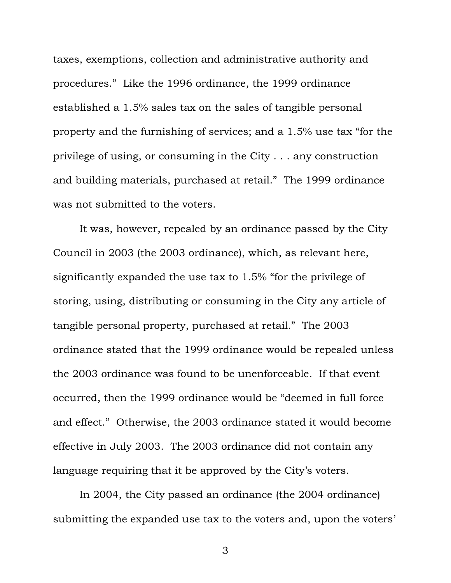taxes, exemptions, collection and administrative authority and procedures." Like the 1996 ordinance, the 1999 ordinance established a 1.5% sales tax on the sales of tangible personal property and the furnishing of services; and a 1.5% use tax "for the privilege of using, or consuming in the City . . . any construction and building materials, purchased at retail." The 1999 ordinance was not submitted to the voters.

It was, however, repealed by an ordinance passed by the City Council in 2003 (the 2003 ordinance), which, as relevant here, significantly expanded the use tax to 1.5% "for the privilege of storing, using, distributing or consuming in the City any article of tangible personal property, purchased at retail." The 2003 ordinance stated that the 1999 ordinance would be repealed unless the 2003 ordinance was found to be unenforceable. If that event occurred, then the 1999 ordinance would be "deemed in full force and effect." Otherwise, the 2003 ordinance stated it would become effective in July 2003. The 2003 ordinance did not contain any language requiring that it be approved by the City's voters.

In 2004, the City passed an ordinance (the 2004 ordinance) submitting the expanded use tax to the voters and, upon the voters'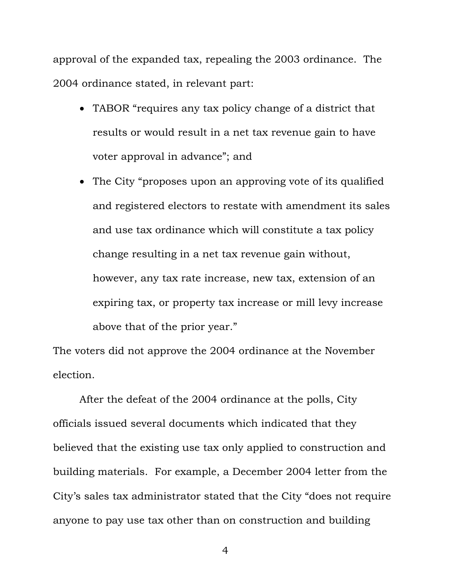approval of the expanded tax, repealing the 2003 ordinance. The 2004 ordinance stated, in relevant part:

- TABOR "requires any tax policy change of a district that results or would result in a net tax revenue gain to have voter approval in advance"; and
- The City "proposes upon an approving vote of its qualified and registered electors to restate with amendment its sales and use tax ordinance which will constitute a tax policy change resulting in a net tax revenue gain without, however, any tax rate increase, new tax, extension of an expiring tax, or property tax increase or mill levy increase above that of the prior year."

The voters did not approve the 2004 ordinance at the November election.

After the defeat of the 2004 ordinance at the polls, City officials issued several documents which indicated that they believed that the existing use tax only applied to construction and building materials. For example, a December 2004 letter from the City's sales tax administrator stated that the City "does not require anyone to pay use tax other than on construction and building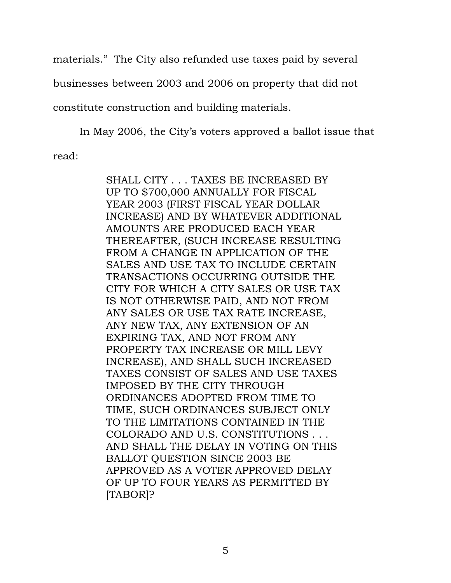materials." The City also refunded use taxes paid by several businesses between 2003 and 2006 on property that did not constitute construction and building materials.

In May 2006, the City's voters approved a ballot issue that read:

> SHALL CITY . . . TAXES BE INCREASED BY UP TO \$700,000 ANNUALLY FOR FISCAL YEAR 2003 (FIRST FISCAL YEAR DOLLAR INCREASE) AND BY WHATEVER ADDITIONAL AMOUNTS ARE PRODUCED EACH YEAR THEREAFTER, (SUCH INCREASE RESULTING FROM A CHANGE IN APPLICATION OF THE SALES AND USE TAX TO INCLUDE CERTAIN TRANSACTIONS OCCURRING OUTSIDE THE CITY FOR WHICH A CITY SALES OR USE TAX IS NOT OTHERWISE PAID, AND NOT FROM ANY SALES OR USE TAX RATE INCREASE, ANY NEW TAX, ANY EXTENSION OF AN EXPIRING TAX, AND NOT FROM ANY PROPERTY TAX INCREASE OR MILL LEVY INCREASE), AND SHALL SUCH INCREASED TAXES CONSIST OF SALES AND USE TAXES IMPOSED BY THE CITY THROUGH ORDINANCES ADOPTED FROM TIME TO TIME, SUCH ORDINANCES SUBJECT ONLY TO THE LIMITATIONS CONTAINED IN THE COLORADO AND U.S. CONSTITUTIONS . . . AND SHALL THE DELAY IN VOTING ON THIS BALLOT QUESTION SINCE 2003 BE APPROVED AS A VOTER APPROVED DELAY OF UP TO FOUR YEARS AS PERMITTED BY [TABOR]?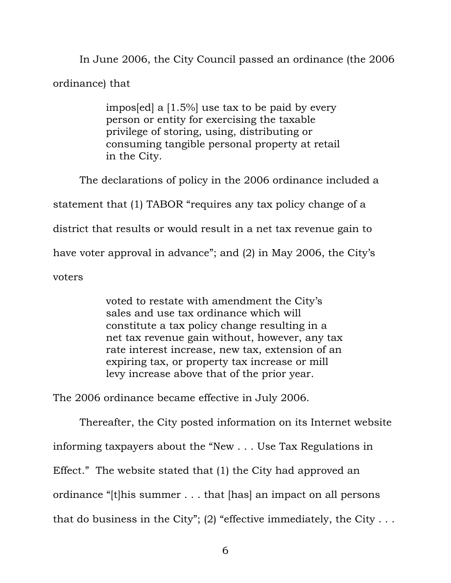In June 2006, the City Council passed an ordinance (the 2006 ordinance) that

> impos[ed] a [1.5%] use tax to be paid by every person or entity for exercising the taxable privilege of storing, using, distributing or consuming tangible personal property at retail in the City.

 The declarations of policy in the 2006 ordinance included a statement that (1) TABOR "requires any tax policy change of a district that results or would result in a net tax revenue gain to have voter approval in advance"; and (2) in May 2006, the City's voters

> voted to restate with amendment the City's sales and use tax ordinance which will constitute a tax policy change resulting in a net tax revenue gain without, however, any tax rate interest increase, new tax, extension of an expiring tax, or property tax increase or mill levy increase above that of the prior year.

The 2006 ordinance became effective in July 2006.

 Thereafter, the City posted information on its Internet website informing taxpayers about the "New . . . Use Tax Regulations in Effect." The website stated that (1) the City had approved an ordinance "[t]his summer . . . that [has] an impact on all persons that do business in the City"; (2) "effective immediately, the City  $\dots$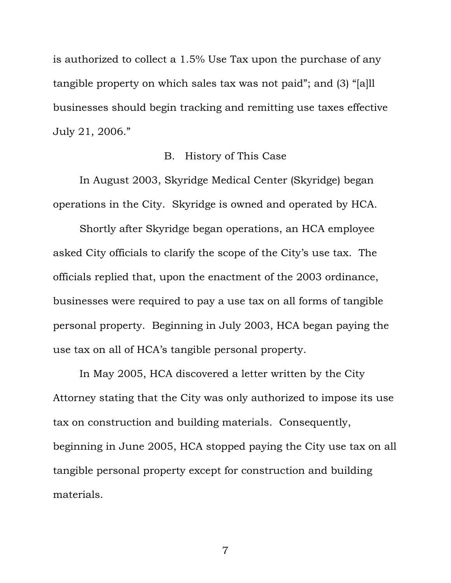is authorized to collect a 1.5% Use Tax upon the purchase of any tangible property on which sales tax was not paid"; and (3) "[a]ll businesses should begin tracking and remitting use taxes effective July 21, 2006."

### B. History of This Case

In August 2003, Skyridge Medical Center (Skyridge) began operations in the City. Skyridge is owned and operated by HCA.

Shortly after Skyridge began operations, an HCA employee asked City officials to clarify the scope of the City's use tax. The officials replied that, upon the enactment of the 2003 ordinance, businesses were required to pay a use tax on all forms of tangible personal property. Beginning in July 2003, HCA began paying the use tax on all of HCA's tangible personal property.

In May 2005, HCA discovered a letter written by the City Attorney stating that the City was only authorized to impose its use tax on construction and building materials. Consequently, beginning in June 2005, HCA stopped paying the City use tax on all tangible personal property except for construction and building materials.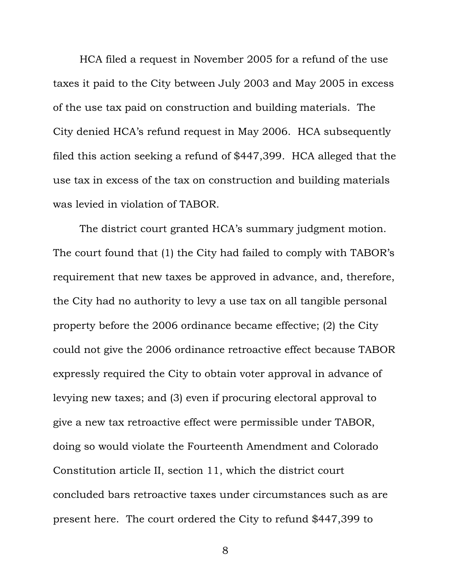HCA filed a request in November 2005 for a refund of the use taxes it paid to the City between July 2003 and May 2005 in excess of the use tax paid on construction and building materials. The City denied HCA's refund request in May 2006. HCA subsequently filed this action seeking a refund of \$447,399. HCA alleged that the use tax in excess of the tax on construction and building materials was levied in violation of TABOR.

The district court granted HCA's summary judgment motion. The court found that (1) the City had failed to comply with TABOR's requirement that new taxes be approved in advance, and, therefore, the City had no authority to levy a use tax on all tangible personal property before the 2006 ordinance became effective; (2) the City could not give the 2006 ordinance retroactive effect because TABOR expressly required the City to obtain voter approval in advance of levying new taxes; and (3) even if procuring electoral approval to give a new tax retroactive effect were permissible under TABOR, doing so would violate the Fourteenth Amendment and Colorado Constitution article II, section 11, which the district court concluded bars retroactive taxes under circumstances such as are present here. The court ordered the City to refund \$447,399 to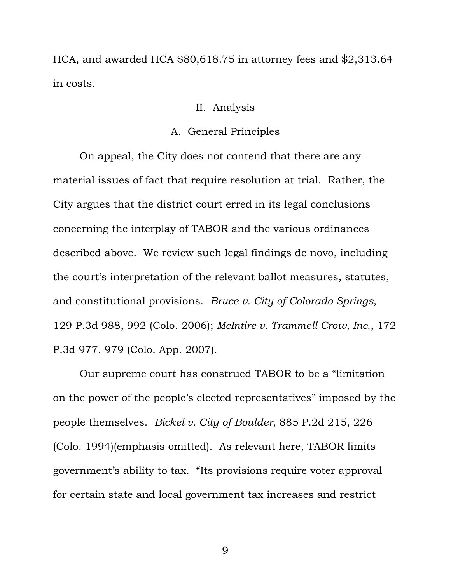HCA, and awarded HCA \$80,618.75 in attorney fees and \$2,313.64 in costs.

### II. Analysis

#### A. General Principles

On appeal, the City does not contend that there are any material issues of fact that require resolution at trial. Rather, the City argues that the district court erred in its legal conclusions concerning the interplay of TABOR and the various ordinances described above. We review such legal findings de novo, including the court's interpretation of the relevant ballot measures, statutes, and constitutional provisions. *Bruce v. City of Colorado Springs*, 129 P.3d 988, 992 (Colo. 2006); *McIntire v. Trammell Crow, Inc.*, 172 P.3d 977, 979 (Colo. App. 2007).

Our supreme court has construed TABOR to be a "limitation on the power of the people's elected representatives" imposed by the people themselves. *Bickel v. City of Boulder*, 885 P.2d 215, 226 (Colo. 1994)(emphasis omitted). As relevant here, TABOR limits government's ability to tax. "Its provisions require voter approval for certain state and local government tax increases and restrict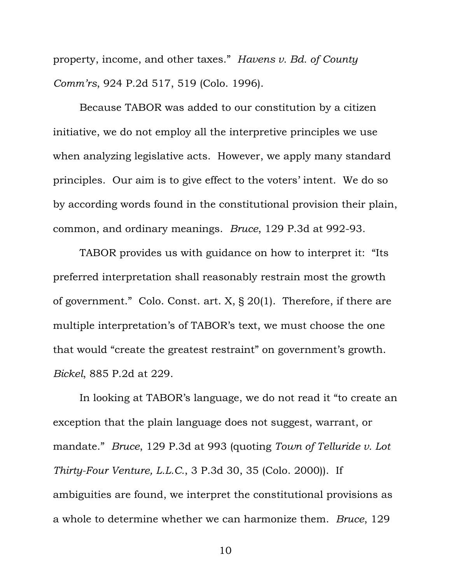property, income, and other taxes." *Havens v. Bd. of County Comm'rs*, 924 P.2d 517, 519 (Colo. 1996).

Because TABOR was added to our constitution by a citizen initiative, we do not employ all the interpretive principles we use when analyzing legislative acts. However, we apply many standard principles. Our aim is to give effect to the voters' intent. We do so by according words found in the constitutional provision their plain, common, and ordinary meanings. *Bruce*, 129 P.3d at 992-93.

TABOR provides us with guidance on how to interpret it: "Its preferred interpretation shall reasonably restrain most the growth of government." Colo. Const. art. X, § 20(1). Therefore, if there are multiple interpretation's of TABOR's text, we must choose the one that would "create the greatest restraint" on government's growth. *Bickel*, 885 P.2d at 229.

In looking at TABOR's language, we do not read it "to create an exception that the plain language does not suggest, warrant, or mandate." *Bruce*, 129 P.3d at 993 (quoting *Town of Telluride v. Lot Thirty-Four Venture, L.L.C.*, 3 P.3d 30, 35 (Colo. 2000)). If ambiguities are found, we interpret the constitutional provisions as a whole to determine whether we can harmonize them. *Bruce*, 129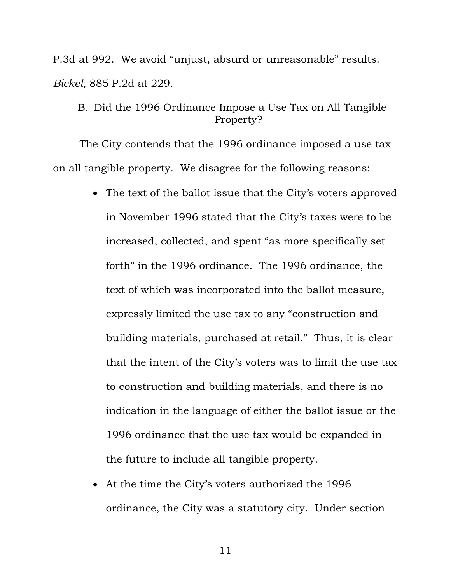P.3d at 992. We avoid "unjust, absurd or unreasonable" results. *Bickel*, 885 P.2d at 229.

# B. Did the 1996 Ordinance Impose a Use Tax on All Tangible Property?

The City contends that the 1996 ordinance imposed a use tax on all tangible property. We disagree for the following reasons:

- The text of the ballot issue that the City's voters approved in November 1996 stated that the City's taxes were to be increased, collected, and spent "as more specifically set forth" in the 1996 ordinance. The 1996 ordinance, the text of which was incorporated into the ballot measure, expressly limited the use tax to any "construction and building materials, purchased at retail." Thus, it is clear that the intent of the City's voters was to limit the use tax to construction and building materials, and there is no indication in the language of either the ballot issue or the 1996 ordinance that the use tax would be expanded in the future to include all tangible property.
- At the time the City's voters authorized the 1996 ordinance, the City was a statutory city. Under section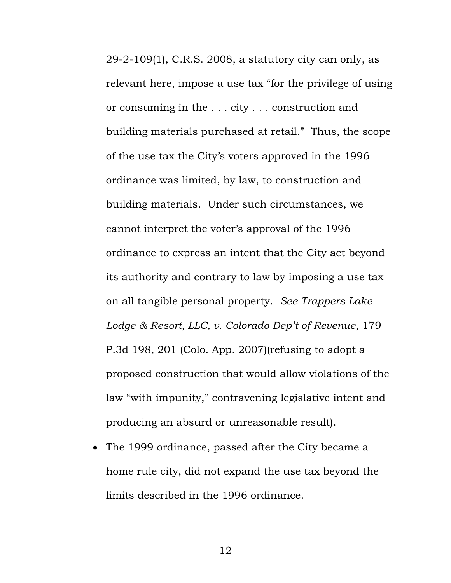29-2-109(1), C.R.S. 2008, a statutory city can only, as relevant here, impose a use tax "for the privilege of using or consuming in the . . . city . . . construction and building materials purchased at retail." Thus, the scope of the use tax the City's voters approved in the 1996 ordinance was limited, by law, to construction and building materials. Under such circumstances, we cannot interpret the voter's approval of the 1996 ordinance to express an intent that the City act beyond its authority and contrary to law by imposing a use tax on all tangible personal property. *See Trappers Lake Lodge & Resort, LLC, v. Colorado Dep't of Revenue*, 179 P.3d 198, 201 (Colo. App. 2007)(refusing to adopt a proposed construction that would allow violations of the law "with impunity," contravening legislative intent and producing an absurd or unreasonable result).

• The 1999 ordinance, passed after the City became a home rule city, did not expand the use tax beyond the limits described in the 1996 ordinance.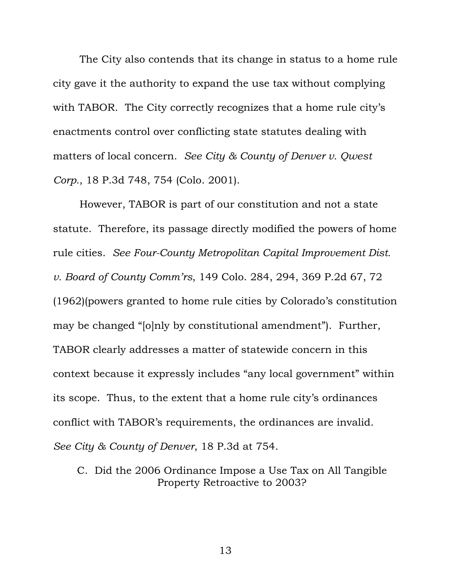The City also contends that its change in status to a home rule city gave it the authority to expand the use tax without complying with TABOR. The City correctly recognizes that a home rule city's enactments control over conflicting state statutes dealing with matters of local concern. *See City & County of Denver v. Qwest Corp.*, 18 P.3d 748, 754 (Colo. 2001).

However, TABOR is part of our constitution and not a state statute. Therefore, its passage directly modified the powers of home rule cities. *See Four-County Metropolitan Capital Improvement Dist. v. Board of County Comm'rs*, 149 Colo. 284, 294, 369 P.2d 67, 72 (1962)(powers granted to home rule cities by Colorado's constitution may be changed "[o]nly by constitutional amendment"). Further, TABOR clearly addresses a matter of statewide concern in this context because it expressly includes "any local government" within its scope. Thus, to the extent that a home rule city's ordinances conflict with TABOR's requirements, the ordinances are invalid. *See City & County of Denver*, 18 P.3d at 754.

C. Did the 2006 Ordinance Impose a Use Tax on All Tangible Property Retroactive to 2003?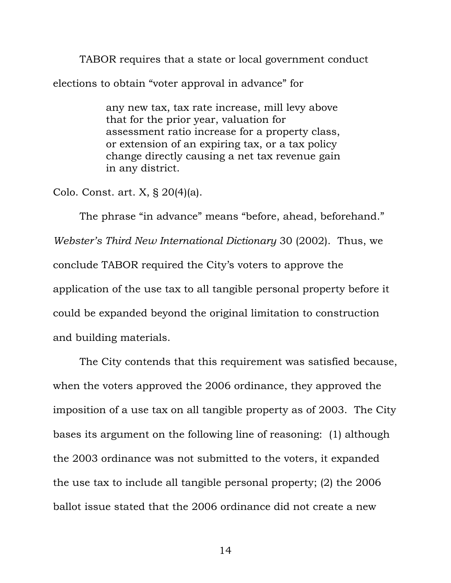TABOR requires that a state or local government conduct elections to obtain "voter approval in advance" for

> any new tax, tax rate increase, mill levy above that for the prior year, valuation for assessment ratio increase for a property class, or extension of an expiring tax, or a tax policy change directly causing a net tax revenue gain in any district.

Colo. Const. art. X, § 20(4)(a).

The phrase "in advance" means "before, ahead, beforehand." *Webster's Third New International Dictionary* 30 (2002). Thus, we conclude TABOR required the City's voters to approve the application of the use tax to all tangible personal property before it could be expanded beyond the original limitation to construction and building materials.

The City contends that this requirement was satisfied because, when the voters approved the 2006 ordinance, they approved the imposition of a use tax on all tangible property as of 2003. The City bases its argument on the following line of reasoning: (1) although the 2003 ordinance was not submitted to the voters, it expanded the use tax to include all tangible personal property; (2) the 2006 ballot issue stated that the 2006 ordinance did not create a new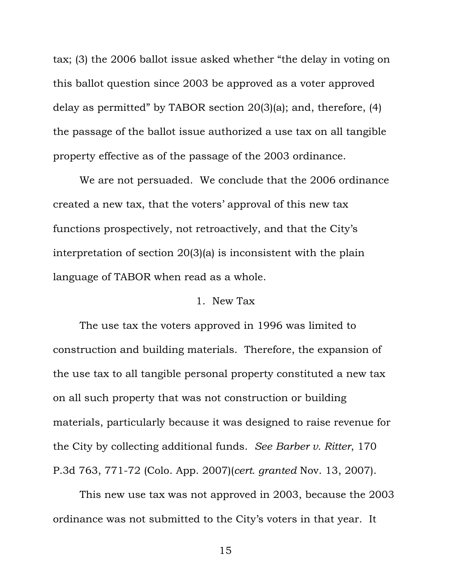tax; (3) the 2006 ballot issue asked whether "the delay in voting on this ballot question since 2003 be approved as a voter approved delay as permitted" by TABOR section 20(3)(a); and, therefore, (4) the passage of the ballot issue authorized a use tax on all tangible property effective as of the passage of the 2003 ordinance.

We are not persuaded. We conclude that the 2006 ordinance created a new tax, that the voters' approval of this new tax functions prospectively, not retroactively, and that the City's interpretation of section 20(3)(a) is inconsistent with the plain language of TABOR when read as a whole.

#### 1. New Tax

The use tax the voters approved in 1996 was limited to construction and building materials. Therefore, the expansion of the use tax to all tangible personal property constituted a new tax on all such property that was not construction or building materials, particularly because it was designed to raise revenue for the City by collecting additional funds. *See Barber v. Ritter*, 170 P.3d 763, 771-72 (Colo. App. 2007)(*cert. granted* Nov. 13, 2007).

This new use tax was not approved in 2003, because the 2003 ordinance was not submitted to the City's voters in that year. It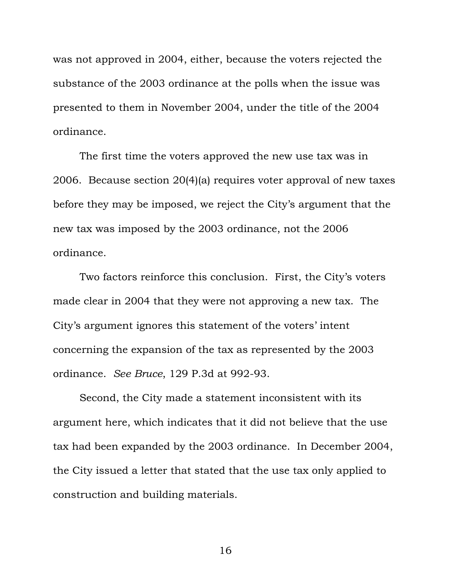was not approved in 2004, either, because the voters rejected the substance of the 2003 ordinance at the polls when the issue was presented to them in November 2004, under the title of the 2004 ordinance.

The first time the voters approved the new use tax was in 2006. Because section 20(4)(a) requires voter approval of new taxes before they may be imposed, we reject the City's argument that the new tax was imposed by the 2003 ordinance, not the 2006 ordinance.

Two factors reinforce this conclusion. First, the City's voters made clear in 2004 that they were not approving a new tax. The City's argument ignores this statement of the voters' intent concerning the expansion of the tax as represented by the 2003 ordinance. *See Bruce*, 129 P.3d at 992-93.

Second, the City made a statement inconsistent with its argument here, which indicates that it did not believe that the use tax had been expanded by the 2003 ordinance. In December 2004, the City issued a letter that stated that the use tax only applied to construction and building materials.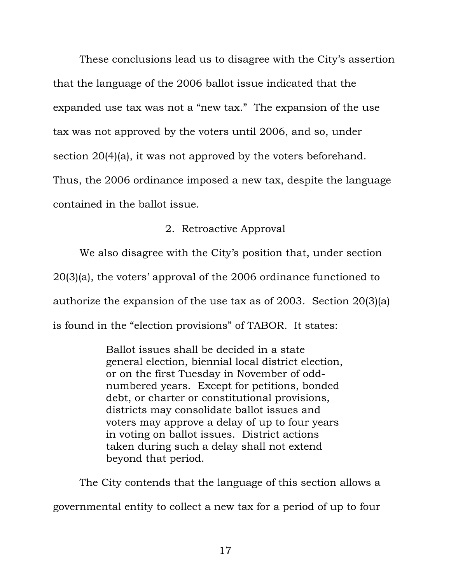These conclusions lead us to disagree with the City's assertion that the language of the 2006 ballot issue indicated that the expanded use tax was not a "new tax." The expansion of the use tax was not approved by the voters until 2006, and so, under section 20(4)(a), it was not approved by the voters beforehand. Thus, the 2006 ordinance imposed a new tax, despite the language contained in the ballot issue.

## 2. Retroactive Approval

We also disagree with the City's position that, under section 20(3)(a), the voters' approval of the 2006 ordinance functioned to authorize the expansion of the use tax as of 2003. Section 20(3)(a) is found in the "election provisions" of TABOR. It states:

> Ballot issues shall be decided in a state general election, biennial local district election, or on the first Tuesday in November of oddnumbered years. Except for petitions, bonded debt, or charter or constitutional provisions, districts may consolidate ballot issues and voters may approve a delay of up to four years in voting on ballot issues. District actions taken during such a delay shall not extend beyond that period.

The City contends that the language of this section allows a governmental entity to collect a new tax for a period of up to four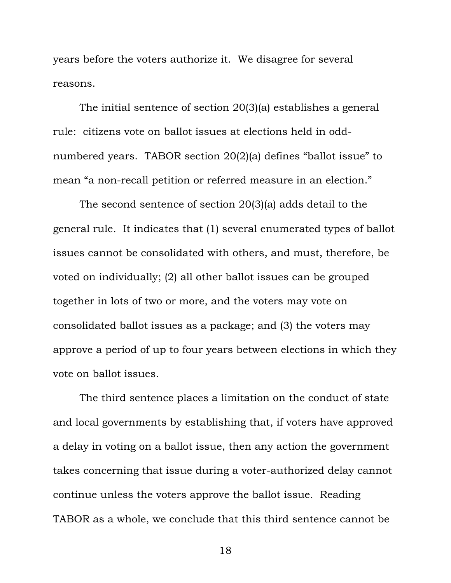years before the voters authorize it. We disagree for several reasons.

The initial sentence of section 20(3)(a) establishes a general rule: citizens vote on ballot issues at elections held in oddnumbered years. TABOR section 20(2)(a) defines "ballot issue" to mean "a non-recall petition or referred measure in an election."

The second sentence of section 20(3)(a) adds detail to the general rule. It indicates that (1) several enumerated types of ballot issues cannot be consolidated with others, and must, therefore, be voted on individually; (2) all other ballot issues can be grouped together in lots of two or more, and the voters may vote on consolidated ballot issues as a package; and (3) the voters may approve a period of up to four years between elections in which they vote on ballot issues.

The third sentence places a limitation on the conduct of state and local governments by establishing that, if voters have approved a delay in voting on a ballot issue, then any action the government takes concerning that issue during a voter-authorized delay cannot continue unless the voters approve the ballot issue. Reading TABOR as a whole, we conclude that this third sentence cannot be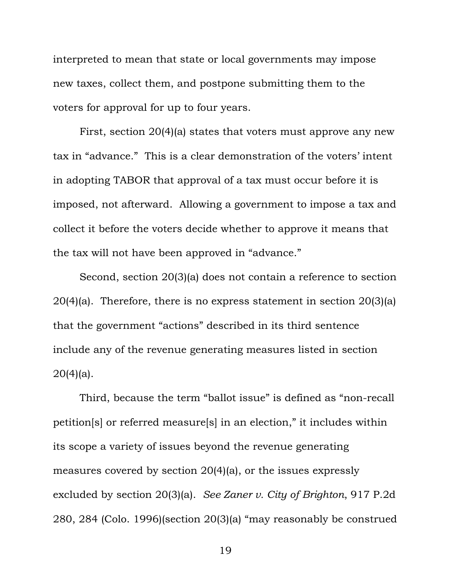interpreted to mean that state or local governments may impose new taxes, collect them, and postpone submitting them to the voters for approval for up to four years.

First, section 20(4)(a) states that voters must approve any new tax in "advance." This is a clear demonstration of the voters' intent in adopting TABOR that approval of a tax must occur before it is imposed, not afterward. Allowing a government to impose a tax and collect it before the voters decide whether to approve it means that the tax will not have been approved in "advance."

Second, section 20(3)(a) does not contain a reference to section 20(4)(a). Therefore, there is no express statement in section 20(3)(a) that the government "actions" described in its third sentence include any of the revenue generating measures listed in section  $20(4)(a)$ .

Third, because the term "ballot issue" is defined as "non-recall petition[s] or referred measure[s] in an election," it includes within its scope a variety of issues beyond the revenue generating measures covered by section 20(4)(a), or the issues expressly excluded by section 20(3)(a). *See Zaner v. City of Brighton*, 917 P.2d 280, 284 (Colo. 1996)(section 20(3)(a) "may reasonably be construed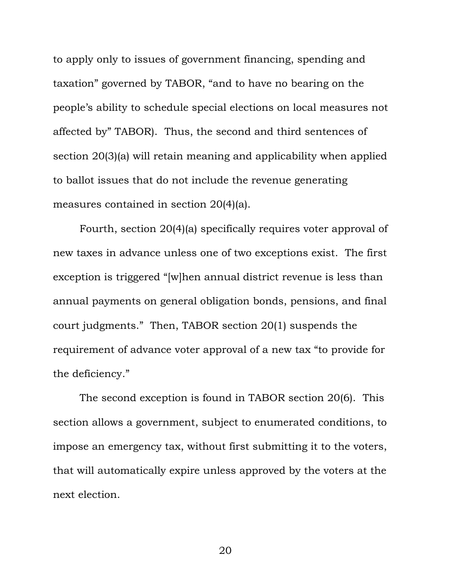to apply only to issues of government financing, spending and taxation" governed by TABOR, "and to have no bearing on the people's ability to schedule special elections on local measures not affected by" TABOR). Thus, the second and third sentences of section 20(3)(a) will retain meaning and applicability when applied to ballot issues that do not include the revenue generating measures contained in section 20(4)(a).

Fourth, section 20(4)(a) specifically requires voter approval of new taxes in advance unless one of two exceptions exist. The first exception is triggered "[w]hen annual district revenue is less than annual payments on general obligation bonds, pensions, and final court judgments." Then, TABOR section 20(1) suspends the requirement of advance voter approval of a new tax "to provide for the deficiency."

The second exception is found in TABOR section 20(6). This section allows a government, subject to enumerated conditions, to impose an emergency tax, without first submitting it to the voters, that will automatically expire unless approved by the voters at the next election.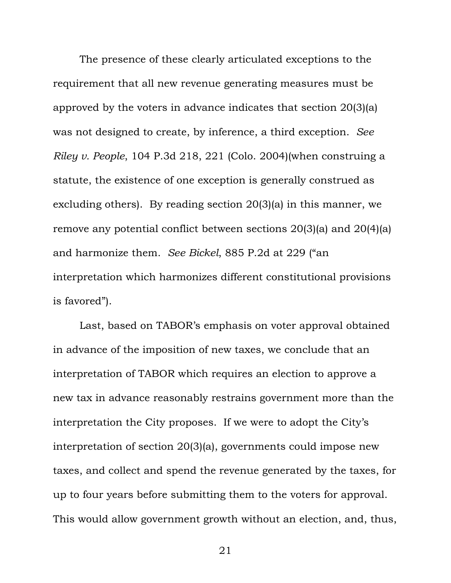The presence of these clearly articulated exceptions to the requirement that all new revenue generating measures must be approved by the voters in advance indicates that section 20(3)(a) was not designed to create, by inference, a third exception. *See Riley v. People*, 104 P.3d 218, 221 (Colo. 2004)(when construing a statute, the existence of one exception is generally construed as excluding others). By reading section 20(3)(a) in this manner, we remove any potential conflict between sections 20(3)(a) and 20(4)(a) and harmonize them. *See Bickel*, 885 P.2d at 229 ("an interpretation which harmonizes different constitutional provisions is favored").

Last, based on TABOR's emphasis on voter approval obtained in advance of the imposition of new taxes, we conclude that an interpretation of TABOR which requires an election to approve a new tax in advance reasonably restrains government more than the interpretation the City proposes. If we were to adopt the City's interpretation of section 20(3)(a), governments could impose new taxes, and collect and spend the revenue generated by the taxes, for up to four years before submitting them to the voters for approval. This would allow government growth without an election, and, thus,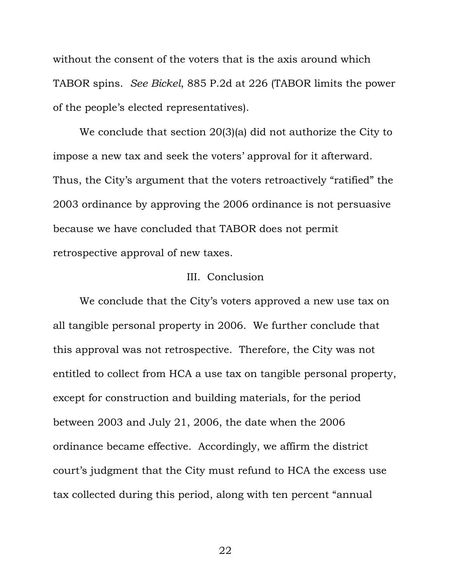without the consent of the voters that is the axis around which TABOR spins. *See Bickel*, 885 P.2d at 226 (TABOR limits the power of the people's elected representatives).

We conclude that section 20(3)(a) did not authorize the City to impose a new tax and seek the voters' approval for it afterward. Thus, the City's argument that the voters retroactively "ratified" the 2003 ordinance by approving the 2006 ordinance is not persuasive because we have concluded that TABOR does not permit retrospective approval of new taxes.

#### III. Conclusion

We conclude that the City's voters approved a new use tax on all tangible personal property in 2006. We further conclude that this approval was not retrospective. Therefore, the City was not entitled to collect from HCA a use tax on tangible personal property, except for construction and building materials, for the period between 2003 and July 21, 2006, the date when the 2006 ordinance became effective. Accordingly, we affirm the district court's judgment that the City must refund to HCA the excess use tax collected during this period, along with ten percent "annual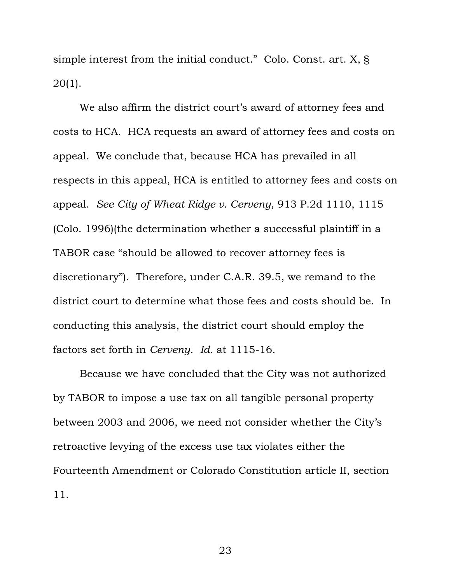simple interest from the initial conduct." Colo. Const. art. X, § 20(1).

We also affirm the district court's award of attorney fees and costs to HCA. HCA requests an award of attorney fees and costs on appeal. We conclude that, because HCA has prevailed in all respects in this appeal, HCA is entitled to attorney fees and costs on appeal. *See City of Wheat Ridge v. Cerveny*, 913 P.2d 1110, 1115 (Colo. 1996)(the determination whether a successful plaintiff in a TABOR case "should be allowed to recover attorney fees is discretionary"). Therefore, under C.A.R. 39.5, we remand to the district court to determine what those fees and costs should be. In conducting this analysis, the district court should employ the factors set forth in *Cerveny*. *Id*. at 1115-16.

Because we have concluded that the City was not authorized by TABOR to impose a use tax on all tangible personal property between 2003 and 2006, we need not consider whether the City's retroactive levying of the excess use tax violates either the Fourteenth Amendment or Colorado Constitution article II, section 11.